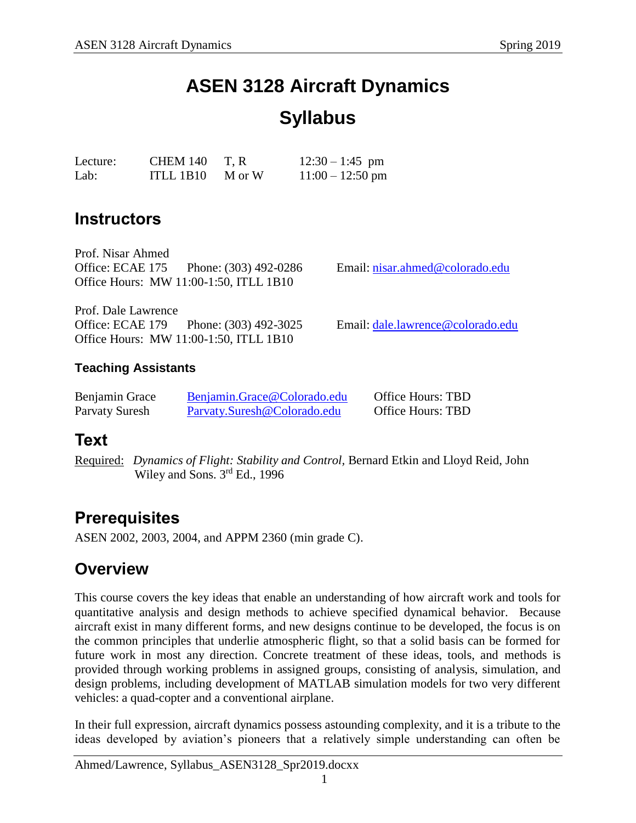# **ASEN 3128 Aircraft Dynamics**

# **Syllabus**

| Lecture: | CHEM 140              | T.R | $12:30 - 1:45$ pm  |
|----------|-----------------------|-----|--------------------|
| Lab:     | ITLL 1B10 $\,$ M or W |     | $11:00 - 12:50$ pm |

## **Instructors**

Prof. Nisar Ahmed Office: ECAE 175 Phone: (303) 492-0286 Email: [nisar.ahmed@colorado.edu](mailto:nisar.ahmed@colorado.edu) Office Hours: MW 11:00-1:50, ITLL 1B10

Prof. Dale Lawrence Office: ECAE 179 Phone: (303) 492-3025 Email: [dale.lawrence@colorado.edu](mailto:dale.lawrence@colorado.edu) Office Hours: MW 11:00-1:50, ITLL 1B10

### **Teaching Assistants**

| Benjamin Grace | Benjamin.Grace@Colorado.edu | <b>Office Hours: TBD</b> |
|----------------|-----------------------------|--------------------------|
| Parvaty Suresh | Parvaty.Suresh@Colorado.edu | <b>Office Hours: TBD</b> |

## **Text**

Required: *Dynamics of Flight: Stability and Control,* Bernard Etkin and Lloyd Reid, John Wiley and Sons. 3<sup>rd</sup> Ed., 1996

## **Prerequisites**

ASEN 2002, 2003, 2004, and APPM 2360 (min grade C).

### **Overview**

This course covers the key ideas that enable an understanding of how aircraft work and tools for quantitative analysis and design methods to achieve specified dynamical behavior. Because aircraft exist in many different forms, and new designs continue to be developed, the focus is on the common principles that underlie atmospheric flight, so that a solid basis can be formed for future work in most any direction. Concrete treatment of these ideas, tools, and methods is provided through working problems in assigned groups, consisting of analysis, simulation, and design problems, including development of MATLAB simulation models for two very different vehicles: a quad-copter and a conventional airplane.

In their full expression, aircraft dynamics possess astounding complexity, and it is a tribute to the ideas developed by aviation's pioneers that a relatively simple understanding can often be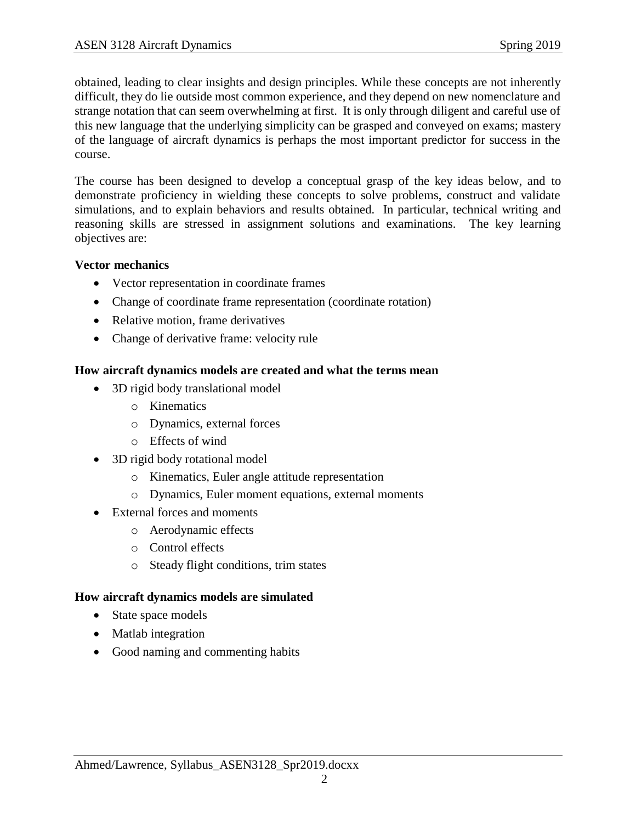obtained, leading to clear insights and design principles. While these concepts are not inherently difficult, they do lie outside most common experience, and they depend on new nomenclature and strange notation that can seem overwhelming at first. It is only through diligent and careful use of this new language that the underlying simplicity can be grasped and conveyed on exams; mastery of the language of aircraft dynamics is perhaps the most important predictor for success in the course.

The course has been designed to develop a conceptual grasp of the key ideas below, and to demonstrate proficiency in wielding these concepts to solve problems, construct and validate simulations, and to explain behaviors and results obtained. In particular, technical writing and reasoning skills are stressed in assignment solutions and examinations. The key learning objectives are:

#### **Vector mechanics**

- Vector representation in coordinate frames
- Change of coordinate frame representation (coordinate rotation)
- Relative motion, frame derivatives
- Change of derivative frame: velocity rule

#### **How aircraft dynamics models are created and what the terms mean**

- 3D rigid body translational model
	- o Kinematics
	- o Dynamics, external forces
	- o Effects of wind
- 3D rigid body rotational model
	- o Kinematics, Euler angle attitude representation
	- o Dynamics, Euler moment equations, external moments
- External forces and moments
	- o Aerodynamic effects
	- o Control effects
	- o Steady flight conditions, trim states

#### **How aircraft dynamics models are simulated**

- State space models
- Matlab integration
- Good naming and commenting habits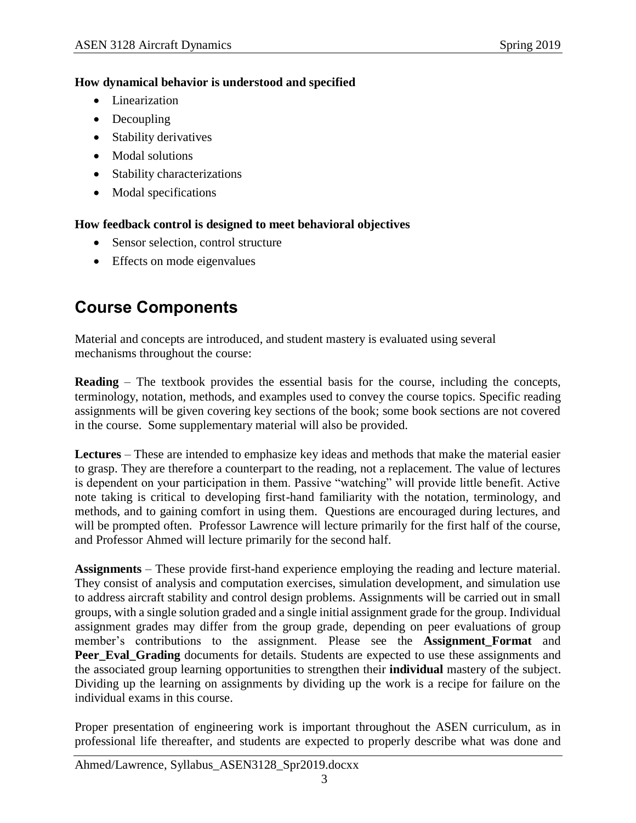#### **How dynamical behavior is understood and specified**

- Linearization
- Decoupling
- Stability derivatives
- Modal solutions
- Stability characterizations
- Modal specifications

#### **How feedback control is designed to meet behavioral objectives**

- Sensor selection, control structure
- Effects on mode eigenvalues

# **Course Components**

Material and concepts are introduced, and student mastery is evaluated using several mechanisms throughout the course:

**Reading** – The textbook provides the essential basis for the course, including the concepts, terminology, notation, methods, and examples used to convey the course topics. Specific reading assignments will be given covering key sections of the book; some book sections are not covered in the course. Some supplementary material will also be provided.

**Lectures** – These are intended to emphasize key ideas and methods that make the material easier to grasp. They are therefore a counterpart to the reading, not a replacement. The value of lectures is dependent on your participation in them. Passive "watching" will provide little benefit. Active note taking is critical to developing first-hand familiarity with the notation, terminology, and methods, and to gaining comfort in using them. Questions are encouraged during lectures, and will be prompted often. Professor Lawrence will lecture primarily for the first half of the course, and Professor Ahmed will lecture primarily for the second half.

**Assignments** – These provide first-hand experience employing the reading and lecture material. They consist of analysis and computation exercises, simulation development, and simulation use to address aircraft stability and control design problems. Assignments will be carried out in small groups, with a single solution graded and a single initial assignment grade for the group. Individual assignment grades may differ from the group grade, depending on peer evaluations of group member's contributions to the assignment. Please see the **Assignment\_Format** and **Peer\_Eval\_Grading** documents for details. Students are expected to use these assignments and the associated group learning opportunities to strengthen their **individual** mastery of the subject. Dividing up the learning on assignments by dividing up the work is a recipe for failure on the individual exams in this course.

Proper presentation of engineering work is important throughout the ASEN curriculum, as in professional life thereafter, and students are expected to properly describe what was done and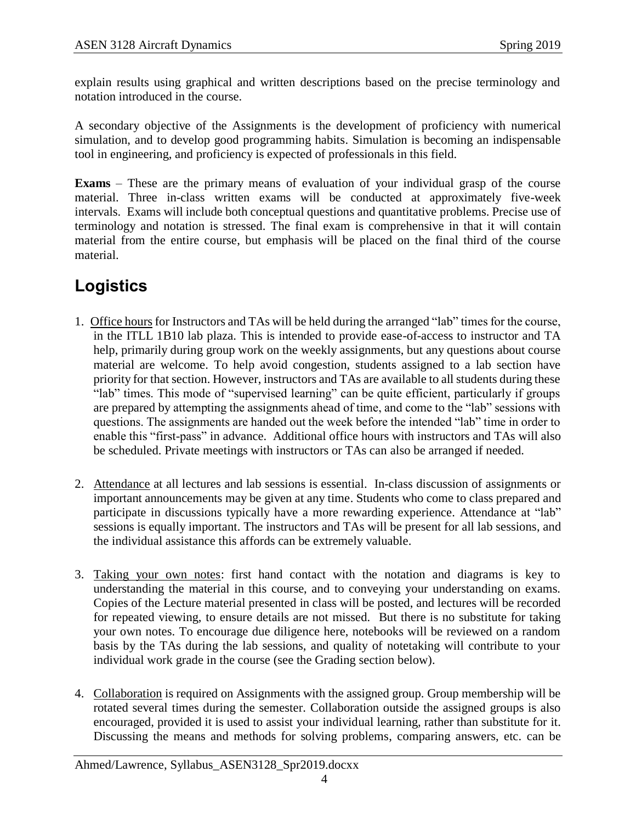explain results using graphical and written descriptions based on the precise terminology and notation introduced in the course.

A secondary objective of the Assignments is the development of proficiency with numerical simulation, and to develop good programming habits. Simulation is becoming an indispensable tool in engineering, and proficiency is expected of professionals in this field.

**Exams** – These are the primary means of evaluation of your individual grasp of the course material. Three in-class written exams will be conducted at approximately five-week intervals. Exams will include both conceptual questions and quantitative problems. Precise use of terminology and notation is stressed. The final exam is comprehensive in that it will contain material from the entire course, but emphasis will be placed on the final third of the course material.

# **Logistics**

- 1. Office hours for Instructors and TAs will be held during the arranged "lab" times for the course, in the ITLL 1B10 lab plaza. This is intended to provide ease-of-access to instructor and TA help, primarily during group work on the weekly assignments, but any questions about course material are welcome. To help avoid congestion, students assigned to a lab section have priority for that section. However, instructors and TAs are available to all students during these "lab" times. This mode of "supervised learning" can be quite efficient, particularly if groups are prepared by attempting the assignments ahead of time, and come to the "lab" sessions with questions. The assignments are handed out the week before the intended "lab" time in order to enable this "first-pass" in advance. Additional office hours with instructors and TAs will also be scheduled. Private meetings with instructors or TAs can also be arranged if needed.
- 2. Attendance at all lectures and lab sessions is essential. In-class discussion of assignments or important announcements may be given at any time. Students who come to class prepared and participate in discussions typically have a more rewarding experience. Attendance at "lab" sessions is equally important. The instructors and TAs will be present for all lab sessions, and the individual assistance this affords can be extremely valuable.
- 3. Taking your own notes: first hand contact with the notation and diagrams is key to understanding the material in this course, and to conveying your understanding on exams. Copies of the Lecture material presented in class will be posted, and lectures will be recorded for repeated viewing, to ensure details are not missed. But there is no substitute for taking your own notes. To encourage due diligence here, notebooks will be reviewed on a random basis by the TAs during the lab sessions, and quality of notetaking will contribute to your individual work grade in the course (see the Grading section below).
- 4. Collaboration is required on Assignments with the assigned group. Group membership will be rotated several times during the semester. Collaboration outside the assigned groups is also encouraged, provided it is used to assist your individual learning, rather than substitute for it. Discussing the means and methods for solving problems, comparing answers, etc. can be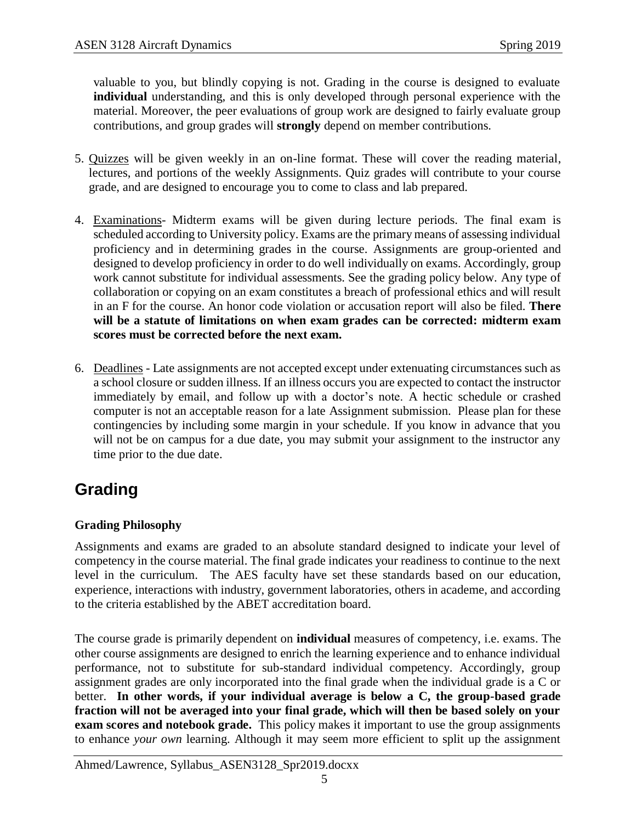valuable to you, but blindly copying is not. Grading in the course is designed to evaluate **individual** understanding, and this is only developed through personal experience with the material. Moreover, the peer evaluations of group work are designed to fairly evaluate group contributions, and group grades will **strongly** depend on member contributions.

- 5. Quizzes will be given weekly in an on-line format. These will cover the reading material, lectures, and portions of the weekly Assignments. Quiz grades will contribute to your course grade, and are designed to encourage you to come to class and lab prepared.
- 4. Examinations- Midterm exams will be given during lecture periods. The final exam is scheduled according to University policy. Exams are the primary means of assessing individual proficiency and in determining grades in the course. Assignments are group-oriented and designed to develop proficiency in order to do well individually on exams. Accordingly, group work cannot substitute for individual assessments. See the grading policy below. Any type of collaboration or copying on an exam constitutes a breach of professional ethics and will result in an F for the course. An honor code violation or accusation report will also be filed. **There will be a statute of limitations on when exam grades can be corrected: midterm exam scores must be corrected before the next exam.**
- 6. Deadlines Late assignments are not accepted except under extenuating circumstances such as a school closure or sudden illness. If an illness occurs you are expected to contact the instructor immediately by email, and follow up with a doctor's note. A hectic schedule or crashed computer is not an acceptable reason for a late Assignment submission. Please plan for these contingencies by including some margin in your schedule. If you know in advance that you will not be on campus for a due date, you may submit your assignment to the instructor any time prior to the due date.

# **Grading**

### **Grading Philosophy**

Assignments and exams are graded to an absolute standard designed to indicate your level of competency in the course material. The final grade indicates your readiness to continue to the next level in the curriculum. The AES faculty have set these standards based on our education, experience, interactions with industry, government laboratories, others in academe, and according to the criteria established by the ABET accreditation board.

The course grade is primarily dependent on **individual** measures of competency, i.e. exams. The other course assignments are designed to enrich the learning experience and to enhance individual performance, not to substitute for sub-standard individual competency. Accordingly, group assignment grades are only incorporated into the final grade when the individual grade is a C or better. **In other words, if your individual average is below a C, the group-based grade fraction will not be averaged into your final grade, which will then be based solely on your exam scores and notebook grade.** This policy makes it important to use the group assignments to enhance *your own* learning. Although it may seem more efficient to split up the assignment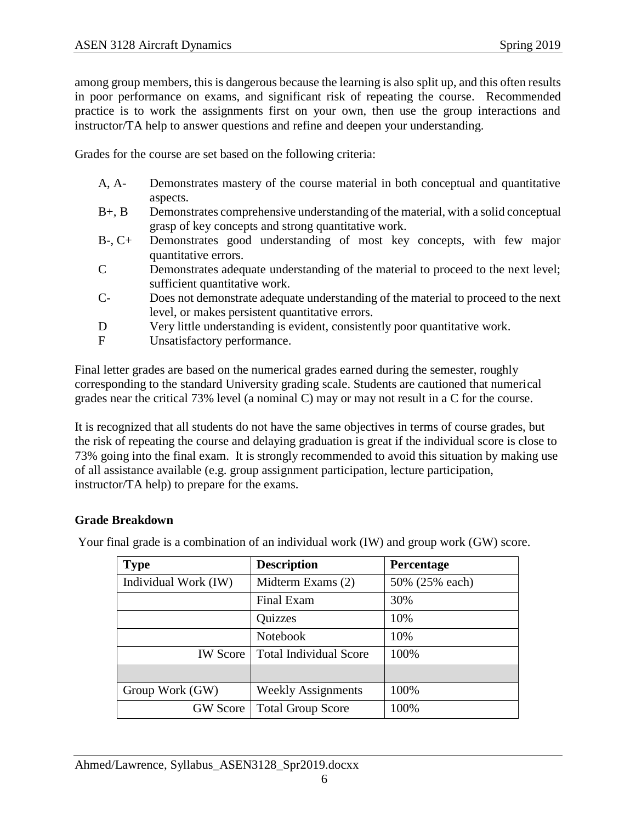among group members, this is dangerous because the learning is also split up, and this often results in poor performance on exams, and significant risk of repeating the course. Recommended practice is to work the assignments first on your own, then use the group interactions and instructor/TA help to answer questions and refine and deepen your understanding.

Grades for the course are set based on the following criteria:

- A, A- Demonstrates mastery of the course material in both conceptual and quantitative aspects.
- B+, B Demonstrates comprehensive understanding of the material, with a solid conceptual grasp of key concepts and strong quantitative work.
- B-, C+ Demonstrates good understanding of most key concepts, with few major quantitative errors.
- C Demonstrates adequate understanding of the material to proceed to the next level; sufficient quantitative work.
- C- Does not demonstrate adequate understanding of the material to proceed to the next level, or makes persistent quantitative errors.
- D Very little understanding is evident, consistently poor quantitative work.
- F Unsatisfactory performance.

Final letter grades are based on the numerical grades earned during the semester, roughly corresponding to the standard University grading scale. Students are cautioned that numerical grades near the critical 73% level (a nominal C) may or may not result in a C for the course.

It is recognized that all students do not have the same objectives in terms of course grades, but the risk of repeating the course and delaying graduation is great if the individual score is close to 73% going into the final exam. It is strongly recommended to avoid this situation by making use of all assistance available (e.g. group assignment participation, lecture participation, instructor/TA help) to prepare for the exams.

#### **Grade Breakdown**

| <b>Type</b>          | <b>Description</b>            | Percentage     |
|----------------------|-------------------------------|----------------|
| Individual Work (IW) | Midterm Exams (2)             | 50% (25% each) |
|                      | Final Exam                    | 30%            |
|                      | Quizzes                       | 10%            |
|                      | <b>Notebook</b>               | 10%            |
| <b>IW</b> Score      | <b>Total Individual Score</b> | 100%           |
|                      |                               |                |
| Group Work (GW)      | <b>Weekly Assignments</b>     | 100%           |
| <b>GW</b> Score      | <b>Total Group Score</b>      | 100%           |

Your final grade is a combination of an individual work (IW) and group work (GW) score.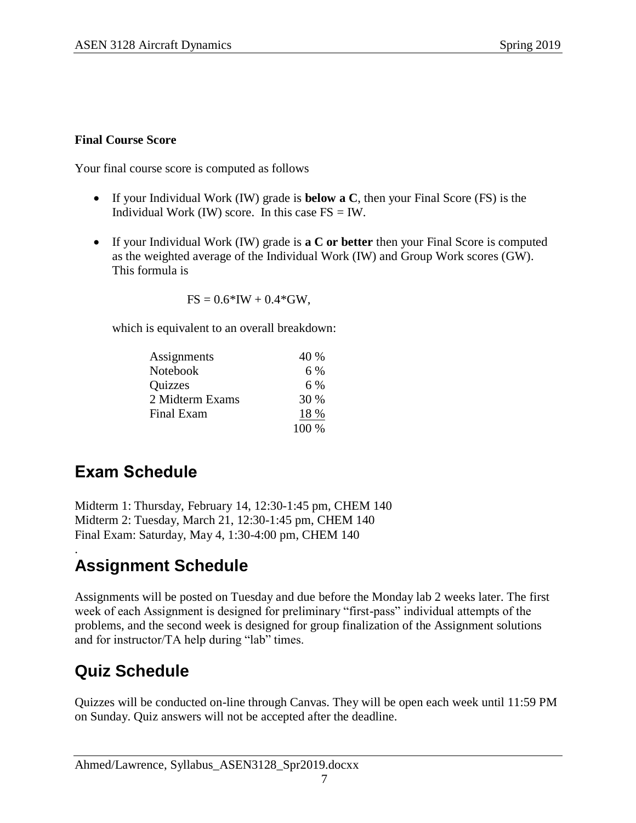#### **Final Course Score**

Your final course score is computed as follows

- If your Individual Work (IW) grade is **below a C**, then your Final Score (FS) is the Individual Work (IW) score. In this case  $FS = IW$ .
- If your Individual Work (IW) grade is **a C or better** then your Final Score is computed as the weighted average of the Individual Work (IW) and Group Work scores (GW). This formula is

 $FS = 0.6*IW + 0.4*GW$ ,

which is equivalent to an overall breakdown:

| Assignments     | 40 %  |
|-----------------|-------|
| <b>Notebook</b> | 6 %   |
| <b>Quizzes</b>  | 6 %   |
| 2 Midterm Exams | 30 %  |
| Final Exam      | 18 %  |
|                 | 100 % |

## **Exam Schedule**

Midterm 1: Thursday, February 14, 12:30-1:45 pm, CHEM 140 Midterm 2: Tuesday, March 21, 12:30-1:45 pm, CHEM 140 Final Exam: Saturday, May 4, 1:30-4:00 pm, CHEM 140

### . **Assignment Schedule**

Assignments will be posted on Tuesday and due before the Monday lab 2 weeks later. The first week of each Assignment is designed for preliminary "first-pass" individual attempts of the problems, and the second week is designed for group finalization of the Assignment solutions and for instructor/TA help during "lab" times.

## **Quiz Schedule**

Quizzes will be conducted on-line through Canvas. They will be open each week until 11:59 PM on Sunday. Quiz answers will not be accepted after the deadline.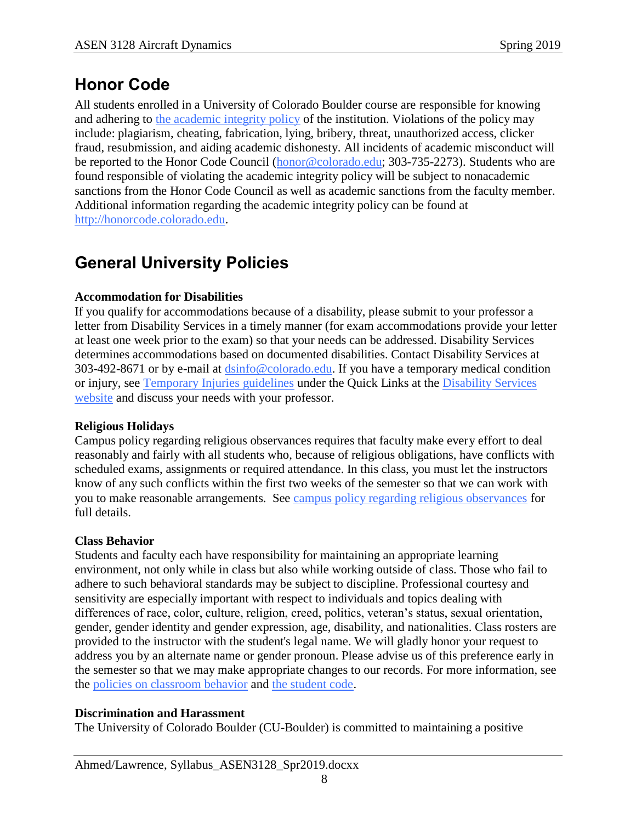# **Honor Code**

All students enrolled in a University of Colorado Boulder course are responsible for knowing and adhering to [the academic integrity policy](http://www.alumniconnections.com/links/link.cgi?l=6835160&h=6451&e=UCBI-20151203180101) of the institution. Violations of the policy may include: plagiarism, cheating, fabrication, lying, bribery, threat, unauthorized access, clicker fraud, resubmission, and aiding academic dishonesty. All incidents of academic misconduct will be reported to the Honor Code Council [\(honor@colorado.edu;](mailto:honor@colorado.edu) 303-735-2273). Students who are found responsible of violating the academic integrity policy will be subject to nonacademic sanctions from the Honor Code Council as well as academic sanctions from the faculty member. Additional information regarding the academic integrity policy can be found at [http://honorcode.colorado.edu.](http://www.alumniconnections.com/links/link.cgi?l=6835161&h=6451&e=UCBI-20151203180101)

# **General University Policies**

### **Accommodation for Disabilities**

If you qualify for accommodations because of a disability, please submit to your professor a letter from Disability Services in a timely manner (for exam accommodations provide your letter at least one week prior to the exam) so that your needs can be addressed. Disability Services determines accommodations based on documented disabilities. Contact Disability Services at 303-492-8671 or by e-mail at [dsinfo@colorado.edu.](mailto:dsinfo@colorado.edu) If you have a temporary medical condition or injury, see [Temporary Injuries guidelines](http://www.alumniconnections.com/links/link.cgi?l=6835148&h=6451&e=UCBI-20151203180101) under the Quick Links at the [Disability Services](http://www.alumniconnections.com/links/link.cgi?l=6835149&h=6451&e=UCBI-20151203180101)  [website](http://www.alumniconnections.com/links/link.cgi?l=6835149&h=6451&e=UCBI-20151203180101) and discuss your needs with your professor.

### **Religious Holidays**

Campus policy regarding religious observances requires that faculty make every effort to deal reasonably and fairly with all students who, because of religious obligations, have conflicts with scheduled exams, assignments or required attendance. In this class, you must let the instructors know of any such conflicts within the first two weeks of the semester so that we can work with you to make reasonable arrangements. See [campus policy regarding religious observances](http://www.alumniconnections.com/links/link.cgi?l=6835152&h=6451&e=UCBI-20151203180101) for full details.

### **Class Behavior**

Students and faculty each have responsibility for maintaining an appropriate learning environment, not only while in class but also while working outside of class. Those who fail to adhere to such behavioral standards may be subject to discipline. Professional courtesy and sensitivity are especially important with respect to individuals and topics dealing with differences of race, color, culture, religion, creed, politics, veteran's status, sexual orientation, gender, gender identity and gender expression, age, disability, and nationalities. Class rosters are provided to the instructor with the student's legal name. We will gladly honor your request to address you by an alternate name or gender pronoun. Please advise us of this preference early in the semester so that we may make appropriate changes to our records. For more information, see the [policies on classroom behavior](http://www.alumniconnections.com/links/link.cgi?l=6835155&h=6451&e=UCBI-20151203180101) and [the student code.](http://www.alumniconnections.com/links/link.cgi?l=6835156&h=6451&e=UCBI-20151203180101)

### **Discrimination and Harassment**

The University of Colorado Boulder (CU-Boulder) is committed to maintaining a positive